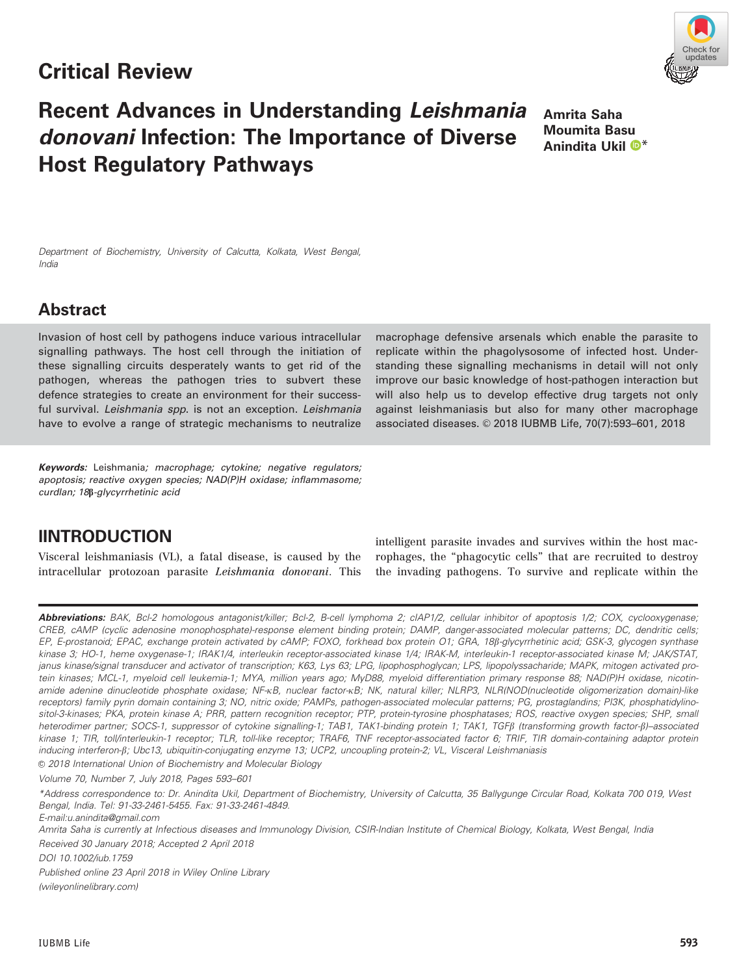## Critical Review

# updates

# Recent Advances in Understanding Leishmania donovani Infection: The Importance of Diverse Host Regulatory Pathways

Amrita Saha Moumita Basu Anindita Ukil  $\mathbf{O}^*$  $\mathbf{O}^*$ 

Department of Biochemistry, University of Calcutta, Kolkata, West Bengal, India

## Abstract

Invasion of host cell by pathogens induce various intracellular signalling pathways. The host cell through the initiation of these signalling circuits desperately wants to get rid of the pathogen, whereas the pathogen tries to subvert these defence strategies to create an environment for their successful survival. Leishmania spp. is not an exception. Leishmania have to evolve a range of strategic mechanisms to neutralize

Keywords: Leishmania; macrophage; cytokine; negative regulators; apoptosis; reactive oxygen species; NAD(P)H oxidase; inflammasome; curdlan; 18b-glycyrrhetinic acid

## lINTRODUCTION

Visceral leishmaniasis (VL), a fatal disease, is caused by the intracellular protozoan parasite Leishmania donovani. This macrophage defensive arsenals which enable the parasite to replicate within the phagolysosome of infected host. Understanding these signalling mechanisms in detail will not only improve our basic knowledge of host-pathogen interaction but will also help us to develop effective drug targets not only against leishmaniasis but also for many other macrophage associated diseases. © 2018 IUBMB Life, 70(7):593-601, 2018

intelligent parasite invades and survives within the host macrophages, the "phagocytic cells" that are recruited to destroy the invading pathogens. To survive and replicate within the

Abbreviations: BAK, Bcl-2 homologous antagonist/killer; Bcl-2, B-cell lymphoma 2; clAP1/2, cellular inhibitor of apoptosis 1/2; COX, cyclooxygenase; CREB, cAMP (cyclic adenosine monophosphate)-response element binding protein; DAMP, danger-associated molecular patterns; DC, dendritic cells; EP, E-prostanoid; EPAC, exchange protein activated by cAMP; FOXO, forkhead box protein O1; GRA, 18ß-glycyrrhetinic acid; GSK-3, glycogen synthase kinase 3; HO-1, heme oxygenase-1; IRAK1/4, interleukin receptor-associated kinase 1/4; IRAK-M, interleukin-1 receptor-associated kinase M; JAK/STAT, janus kinase/signal transducer and activator of transcription; K63, Lys 63; LPG, lipophosphoglycan; LPS, lipopolyssacharide; MAPK, mitogen activated protein kinases; MCL-1, myeloid cell leukemia-1; MYA, million years ago; MyD88, myeloid differentiation primary response 88; NAD(P)H oxidase, nicotinamide adenine dinucleotide phosphate oxidase; NF-KB, nuclear factor-KB; NK, natural killer; NLRP3, NLR(NOD(nucleotide oligomerization domain)-like receptors) family pyrin domain containing 3; NO, nitric oxide; PAMPs, pathogen-associated molecular patterns; PG, prostaglandins; PI3K, phosphatidylinositol-3-kinases; PKA, protein kinase A; PRR, pattern recognition receptor; PTP, protein-tyrosine phosphatases; ROS, reactive oxygen species; SHP, small heterodimer partner; SOCS-1, suppressor of cytokine signalling-1; TAB1, TAK1-binding protein 1; TAK1, TGFß (transforming growth factor-ß)–associated kinase 1; TIR, toll/interleukin-1 receptor; TLR, toll-like receptor; TRAF6, TNF receptor-associated factor 6; TRIF, TIR domain-containing adaptor protein inducing interferon-b; Ubc13, ubiquitin-conjugating enzyme 13; UCP2, uncoupling protein-2; VL, Visceral Leishmaniasis  $©$  2018 International Union of Biochemistry and Molecular Biology

Volume 70, Number 7, July 2018, Pages 593–601

\*Address correspondence to: Dr. Anindita Ukil, Department of Biochemistry, University of Calcutta, 35 Ballygunge Circular Road, Kolkata 700 019, West Bengal, India. Tel: 91-33-2461-5455. Fax: 91-33-2461-4849.

E-mail:u.anindita@gmail.com

Amrita Saha is currently at Infectious diseases and Immunology Division, CSIR-Indian Institute of Chemical Biology, Kolkata, West Bengal, India Received 30 January 2018; Accepted 2 April 2018

DOI 10.1002/iub.1759

Published online 23 April 2018 in Wiley Online Library

(wileyonlinelibrary.com)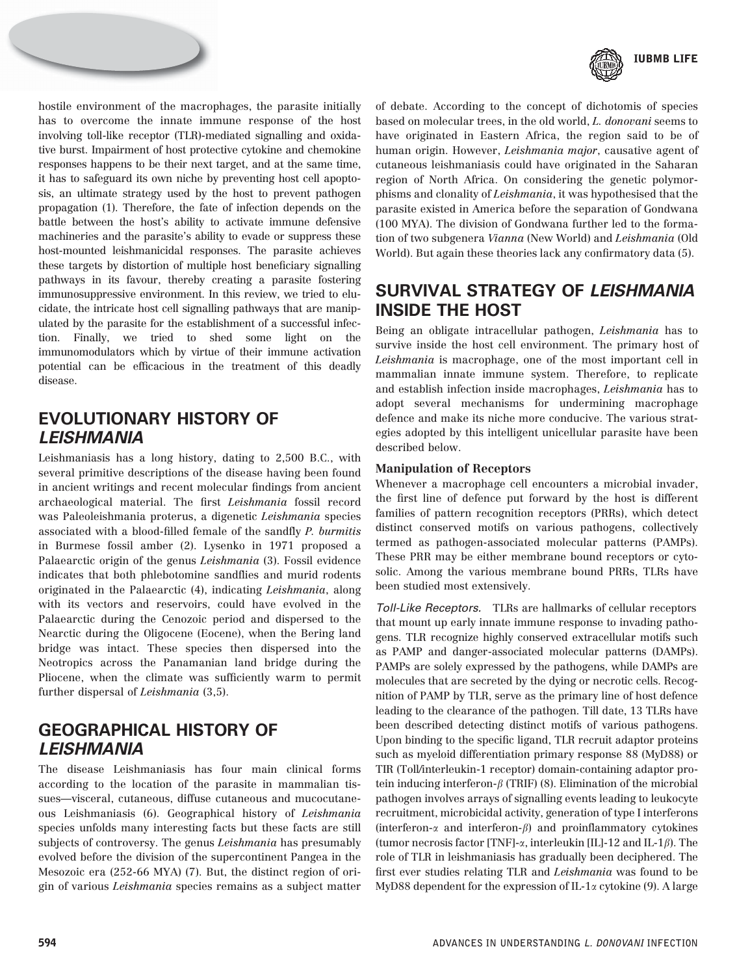

hostile environment of the macrophages, the parasite initially has to overcome the innate immune response of the host involving toll-like receptor (TLR)-mediated signalling and oxidative burst. Impairment of host protective cytokine and chemokine responses happens to be their next target, and at the same time, it has to safeguard its own niche by preventing host cell apoptosis, an ultimate strategy used by the host to prevent pathogen propagation (1). Therefore, the fate of infection depends on the battle between the host's ability to activate immune defensive machineries and the parasite's ability to evade or suppress these host-mounted leishmanicidal responses. The parasite achieves these targets by distortion of multiple host beneficiary signalling pathways in its favour, thereby creating a parasite fostering immunosuppressive environment. In this review, we tried to elucidate, the intricate host cell signalling pathways that are manipulated by the parasite for the establishment of a successful infection. Finally, we tried to shed some light on the immunomodulators which by virtue of their immune activation potential can be efficacious in the treatment of this deadly disease.

## EVOLUTIONARY HISTORY OF LEISHMANIA

Leishmaniasis has a long history, dating to 2,500 B.C., with several primitive descriptions of the disease having been found in ancient writings and recent molecular findings from ancient archaeological material. The first Leishmania fossil record was Paleoleishmania proterus, a digenetic Leishmania species associated with a blood-filled female of the sandfly P. burmitis in Burmese fossil amber (2). Lysenko in 1971 proposed a Palaearctic origin of the genus Leishmania (3). Fossil evidence indicates that both phlebotomine sandflies and murid rodents originated in the Palaearctic (4), indicating Leishmania, along with its vectors and reservoirs, could have evolved in the Palaearctic during the Cenozoic period and dispersed to the Nearctic during the Oligocene (Eocene), when the Bering land bridge was intact. These species then dispersed into the Neotropics across the Panamanian land bridge during the Pliocene, when the climate was sufficiently warm to permit further dispersal of Leishmania (3,5).

## GEOGRAPHICAL HISTORY OF LEISHMANIA

The disease Leishmaniasis has four main clinical forms according to the location of the parasite in mammalian tissues—visceral, cutaneous, diffuse cutaneous and mucocutaneous Leishmaniasis (6). Geographical history of Leishmania species unfolds many interesting facts but these facts are still subjects of controversy. The genus Leishmania has presumably evolved before the division of the supercontinent Pangea in the Mesozoic era (252-66 MYA) (7). But, the distinct region of origin of various Leishmania species remains as a subject matter of debate. According to the concept of dichotomis of species based on molecular trees, in the old world, L. donovani seems to have originated in Eastern Africa, the region said to be of human origin. However, Leishmania major, causative agent of cutaneous leishmaniasis could have originated in the Saharan region of North Africa. On considering the genetic polymorphisms and clonality of Leishmania, it was hypothesised that the parasite existed in America before the separation of Gondwana (100 MYA). The division of Gondwana further led to the formation of two subgenera Vianna (New World) and Leishmania (Old World). But again these theories lack any confirmatory data (5).

## SURVIVAL STRATEGY OF LEISHMANIA INSIDE THE HOST

Being an obligate intracellular pathogen, Leishmania has to survive inside the host cell environment. The primary host of Leishmania is macrophage, one of the most important cell in mammalian innate immune system. Therefore, to replicate and establish infection inside macrophages, Leishmania has to adopt several mechanisms for undermining macrophage defence and make its niche more conducive. The various strategies adopted by this intelligent unicellular parasite have been described below.

#### Manipulation of Receptors

Whenever a macrophage cell encounters a microbial invader, the first line of defence put forward by the host is different families of pattern recognition receptors (PRRs), which detect distinct conserved motifs on various pathogens, collectively termed as pathogen-associated molecular patterns (PAMPs). These PRR may be either membrane bound receptors or cytosolic. Among the various membrane bound PRRs, TLRs have been studied most extensively.

Toll-Like Receptors. TLRs are hallmarks of cellular receptors that mount up early innate immune response to invading pathogens. TLR recognize highly conserved extracellular motifs such as PAMP and danger-associated molecular patterns (DAMPs). PAMPs are solely expressed by the pathogens, while DAMPs are molecules that are secreted by the dying or necrotic cells. Recognition of PAMP by TLR, serve as the primary line of host defence leading to the clearance of the pathogen. Till date, 13 TLRs have been described detecting distinct motifs of various pathogens. Upon binding to the specific ligand, TLR recruit adaptor proteins such as myeloid differentiation primary response 88 (MyD88) or TIR (Toll/interleukin-1 receptor) domain-containing adaptor protein inducing interferon- $\beta$  (TRIF) (8). Elimination of the microbial pathogen involves arrays of signalling events leading to leukocyte recruitment, microbicidal activity, generation of type I interferons (interferon- $\alpha$  and interferon- $\beta$ ) and proinflammatory cytokines (tumor necrosis factor [TNF]- $\alpha$ , interleukin [IL]-12 and IL-1 $\beta$ ). The role of TLR in leishmaniasis has gradually been deciphered. The first ever studies relating TLR and Leishmania was found to be MyD88 dependent for the expression of IL-1 $\alpha$  cytokine (9). A large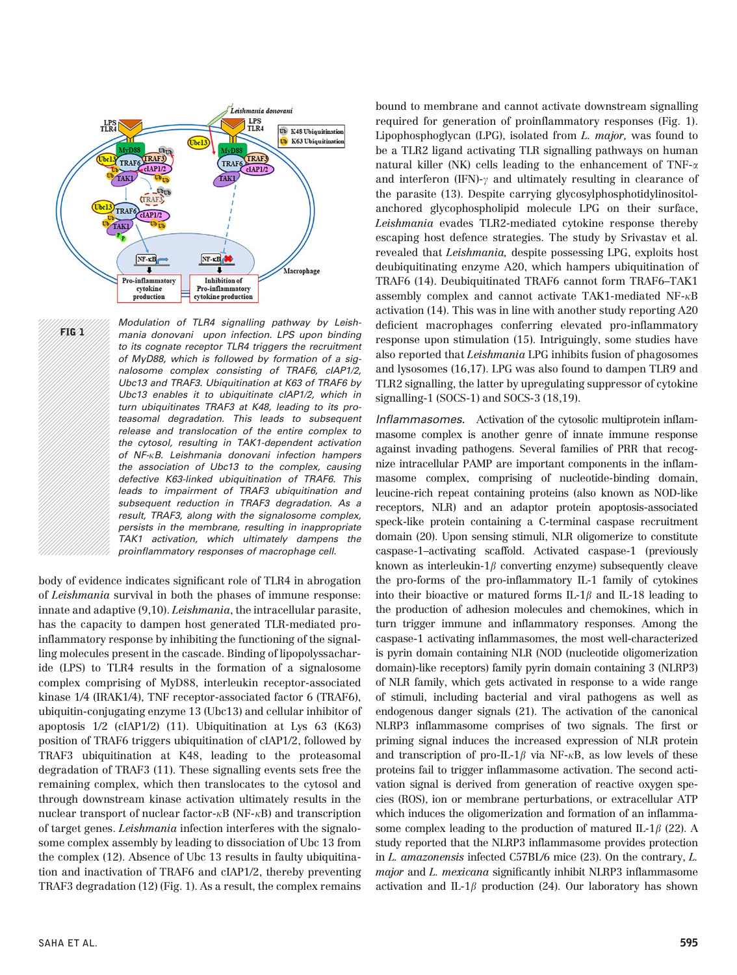

FIG 1

Modulation of TLR4 signalling pathway by Leishmania donovani upon infection. LPS upon binding to its cognate receptor TLR4 triggers the recruitment of MyD88, which is followed by formation of a signalosome complex consisting of TRAF6, cIAP1/2, Ubc13 and TRAF3. Ubiquitination at K63 of TRAF6 by Ubc13 enables it to ubiquitinate cIAP1/2, which in turn ubiquitinates TRAF3 at K48, leading to its proteasomal degradation. This leads to subsequent release and translocation of the entire complex to the cytosol, resulting in TAK1-dependent activation of NF- $\kappa$ B. Leishmania donovani infection hampers the association of Ubc13 to the complex, causing defective K63-linked ubiquitination of TRAF6. This leads to impairment of TRAF3 ubiquitination and subsequent reduction in TRAF3 degradation. As a result, TRAF3, along with the signalosome complex, persists in the membrane, resulting in inappropriate TAK1 activation, which ultimately dampens the proinflammatory responses of macrophage cell.

body of evidence indicates significant role of TLR4 in abrogation of Leishmania survival in both the phases of immune response: innate and adaptive (9,10). Leishmania, the intracellular parasite, has the capacity to dampen host generated TLR-mediated proinflammatory response by inhibiting the functioning of the signalling molecules present in the cascade. Binding of lipopolyssacharide (LPS) to TLR4 results in the formation of a signalosome complex comprising of MyD88, interleukin receptor-associated kinase 1/4 (IRAK1/4), TNF receptor-associated factor 6 (TRAF6), ubiquitin-conjugating enzyme 13 (Ubc13) and cellular inhibitor of apoptosis 1/2 (cIAP1/2) (11). Ubiquitination at Lys 63 (K63) position of TRAF6 triggers ubiquitination of cIAP1/2, followed by TRAF3 ubiquitination at K48, leading to the proteasomal degradation of TRAF3 (11). These signalling events sets free the remaining complex, which then translocates to the cytosol and through downstream kinase activation ultimately results in the nuclear transport of nuclear factor- $\kappa$ B (NF- $\kappa$ B) and transcription of target genes. Leishmania infection interferes with the signalosome complex assembly by leading to dissociation of Ubc 13 from the complex (12). Absence of Ubc 13 results in faulty ubiquitination and inactivation of TRAF6 and cIAP1/2, thereby preventing TRAF3 degradation (12) (Fig. 1). As a result, the complex remains

bound to membrane and cannot activate downstream signalling required for generation of proinflammatory responses (Fig. 1). Lipophosphoglycan (LPG), isolated from L. major, was found to be a TLR2 ligand activating TLR signalling pathways on human natural killer (NK) cells leading to the enhancement of TNF- $\alpha$ and interferon (IFN)- $\gamma$  and ultimately resulting in clearance of the parasite (13). Despite carrying glycosylphosphotidylinositolanchored glycophospholipid molecule LPG on their surface, Leishmania evades TLR2-mediated cytokine response thereby escaping host defence strategies. The study by Srivastav et al. revealed that *Leishmania*, despite possessing LPG, exploits host deubiquitinating enzyme A20, which hampers ubiquitination of TRAF6 (14). Deubiquitinated TRAF6 cannot form TRAF6–TAK1 assembly complex and cannot activate TAK1-mediated  $NF-\kappa B$ activation (14). This was in line with another study reporting A20 deficient macrophages conferring elevated pro-inflammatory response upon stimulation (15). Intriguingly, some studies have also reported that Leishmania LPG inhibits fusion of phagosomes and lysosomes (16,17). LPG was also found to dampen TLR9 and TLR2 signalling, the latter by upregulating suppressor of cytokine signalling-1 (SOCS-1) and SOCS-3 (18,19).

Inflammasomes. Activation of the cytosolic multiprotein inflammasome complex is another genre of innate immune response against invading pathogens. Several families of PRR that recognize intracellular PAMP are important components in the inflammasome complex, comprising of nucleotide-binding domain, leucine-rich repeat containing proteins (also known as NOD-like receptors, NLR) and an adaptor protein apoptosis-associated speck-like protein containing a C-terminal caspase recruitment domain (20). Upon sensing stimuli, NLR oligomerize to constitute caspase-1–activating scaffold. Activated caspase-1 (previously known as interleukin- $1\beta$  converting enzyme) subsequently cleave the pro-forms of the pro-inflammatory IL-1 family of cytokines into their bioactive or matured forms IL-1 $\beta$  and IL-18 leading to the production of adhesion molecules and chemokines, which in turn trigger immune and inflammatory responses. Among the caspase-1 activating inflammasomes, the most well-characterized is pyrin domain containing NLR (NOD (nucleotide oligomerization domain)-like receptors) family pyrin domain containing 3 (NLRP3) of NLR family, which gets activated in response to a wide range of stimuli, including bacterial and viral pathogens as well as endogenous danger signals (21). The activation of the canonical NLRP3 inflammasome comprises of two signals. The first or priming signal induces the increased expression of NLR protein and transcription of pro-IL-1 $\beta$  via NF- $\kappa$ B, as low levels of these proteins fail to trigger inflammasome activation. The second activation signal is derived from generation of reactive oxygen species (ROS), ion or membrane perturbations, or extracellular ATP which induces the oligomerization and formation of an inflammasome complex leading to the production of matured IL-1 $\beta$  (22). A study reported that the NLRP3 inflammasome provides protection in L. amazonensis infected C57BL/6 mice (23). On the contrary, L. major and L. mexicana significantly inhibit NLRP3 inflammasome activation and IL-1 $\beta$  production (24). Our laboratory has shown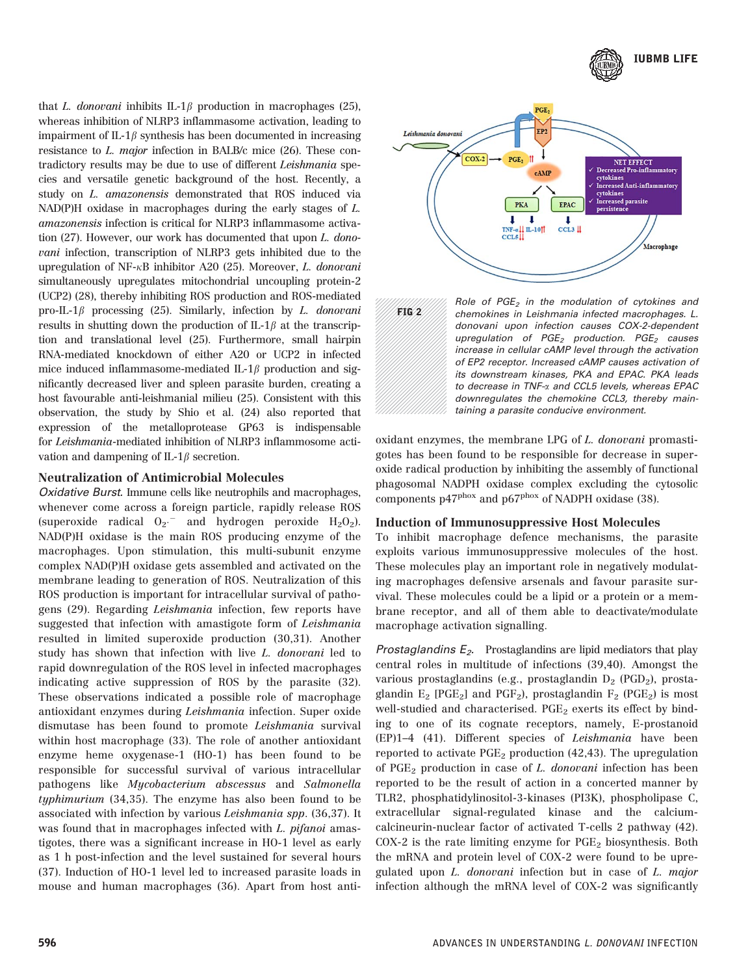

that L. donovani inhibits IL-1 $\beta$  production in macrophages (25), whereas inhibition of NLRP3 inflammasome activation, leading to impairment of IL-1 $\beta$  synthesis has been documented in increasing resistance to L. major infection in BALB/c mice (26). These contradictory results may be due to use of different Leishmania species and versatile genetic background of the host. Recently, a study on L. amazonensis demonstrated that ROS induced via NAD(P)H oxidase in macrophages during the early stages of L. amazonensis infection is critical for NLRP3 inflammasome activation (27). However, our work has documented that upon L. donovani infection, transcription of NLRP3 gets inhibited due to the upregulation of NF- $\kappa$ B inhibitor A20 (25). Moreover, L. donovani simultaneously upregulates mitochondrial uncoupling protein-2 (UCP2) (28), thereby inhibiting ROS production and ROS-mediated pro-IL-1 $\beta$  processing (25). Similarly, infection by L. donovani results in shutting down the production of IL-1 $\beta$  at the transcription and translational level (25). Furthermore, small hairpin RNA-mediated knockdown of either A20 or UCP2 in infected mice induced inflammasome-mediated IL-1 $\beta$  production and significantly decreased liver and spleen parasite burden, creating a host favourable anti-leishmanial milieu (25). Consistent with this observation, the study by Shio et al. (24) also reported that expression of the metalloprotease GP63 is indispensable for Leishmania-mediated inhibition of NLRP3 inflammosome activation and dampening of IL-1 $\beta$  secretion.

#### Neutralization of Antimicrobial Molecules

Oxidative Burst. Immune cells like neutrophils and macrophages, whenever come across a foreign particle, rapidly release ROS (superoxide radical  $O_2$ <sup>-</sup> and hydrogen peroxide  $H_2O_2$ ). NAD(P)H oxidase is the main ROS producing enzyme of the macrophages. Upon stimulation, this multi-subunit enzyme complex NAD(P)H oxidase gets assembled and activated on the membrane leading to generation of ROS. Neutralization of this ROS production is important for intracellular survival of pathogens (29). Regarding Leishmania infection, few reports have suggested that infection with amastigote form of Leishmania resulted in limited superoxide production (30,31). Another study has shown that infection with live L. donovani led to rapid downregulation of the ROS level in infected macrophages indicating active suppression of ROS by the parasite (32). These observations indicated a possible role of macrophage antioxidant enzymes during Leishmania infection. Super oxide dismutase has been found to promote Leishmania survival within host macrophage (33). The role of another antioxidant enzyme heme oxygenase-1 (HO-1) has been found to be responsible for successful survival of various intracellular pathogens like Mycobacterium abscessus and Salmonella typhimurium (34,35). The enzyme has also been found to be associated with infection by various Leishmania spp. (36,37). It was found that in macrophages infected with L. pifanoi amastigotes, there was a significant increase in HO-1 level as early as 1 h post-infection and the level sustained for several hours (37). Induction of HO-1 level led to increased parasite loads in mouse and human macrophages (36). Apart from host anti-





Role of  $PGE_2$  in the modulation of cytokines and chemokines in Leishmania infected macrophages. L. donovani upon infection causes COX-2-dependent upregulation of  $PGE_2$  production.  $PGE_2$  causes increase in cellular cAMP level through the activation of EP2 receptor. Increased cAMP causes activation of its downstream kinases, PKA and EPAC. PKA leads to decrease in TNF-a and CCL5 levels, whereas EPAC downregulates the chemokine CCL3, thereby maintaining a parasite conducive environment.

oxidant enzymes, the membrane LPG of L. donovani promastigotes has been found to be responsible for decrease in superoxide radical production by inhibiting the assembly of functional phagosomal NADPH oxidase complex excluding the cytosolic components  $p47^{pbox}$  and  $p67^{pbox}$  of NADPH oxidase (38).

#### Induction of Immunosuppressive Host Molecules

To inhibit macrophage defence mechanisms, the parasite exploits various immunosuppressive molecules of the host. These molecules play an important role in negatively modulating macrophages defensive arsenals and favour parasite survival. These molecules could be a lipid or a protein or a membrane receptor, and all of them able to deactivate/modulate macrophage activation signalling.

Prostaglandins  $E_2$ . Prostaglandins are lipid mediators that play central roles in multitude of infections (39,40). Amongst the various prostaglandins (e.g., prostaglandin  $D_2$  (PGD<sub>2</sub>), prostaglandin  $E_2$  [PGE<sub>2</sub>] and PGF<sub>2</sub>), prostaglandin F<sub>2</sub> (PGE<sub>2</sub>) is most well-studied and characterised.  $PGE<sub>2</sub>$  exerts its effect by binding to one of its cognate receptors, namely, E-prostanoid (EP)1–4 (41). Different species of Leishmania have been reported to activate  $PGE_2$  production (42,43). The upregulation of  $PGE<sub>2</sub>$  production in case of L. donovani infection has been reported to be the result of action in a concerted manner by TLR2, phosphatidylinositol-3-kinases (PI3K), phospholipase C, extracellular signal-regulated kinase and the calciumcalcineurin-nuclear factor of activated T-cells 2 pathway (42).  $COX-2$  is the rate limiting enzyme for  $PGE<sub>2</sub>$  biosynthesis. Both the mRNA and protein level of COX-2 were found to be upregulated upon L. donovani infection but in case of L. major infection although the mRNA level of COX-2 was significantly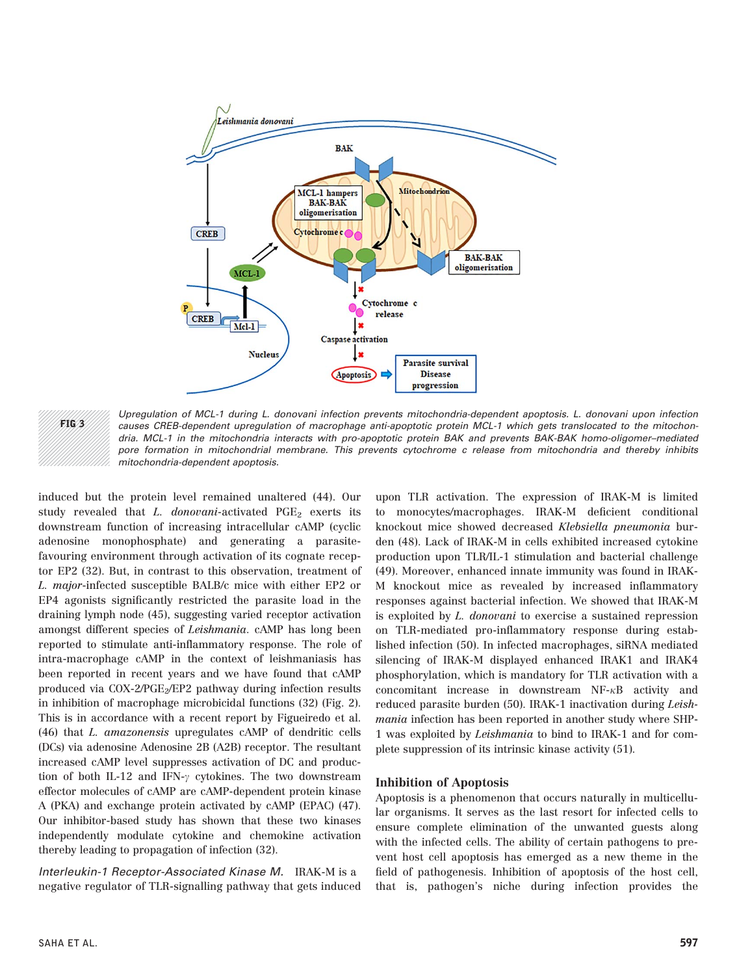

Upregulation of MCL-1 during L. donovani infection prevents mitochondria-dependent apoptosis. L. donovani upon infection causes CREB-dependent upregulation of macrophage anti-apoptotic protein MCL-1 which gets translocated to the mitochondria. MCL-1 in the mitochondria interacts with pro-apoptotic protein BAK and prevents BAK-BAK homo-oligomer–mediated pore formation in mitochondrial membrane. This prevents cytochrome c release from mitochondria and thereby inhibits mitochondria-dependent apoptosis.

induced but the protein level remained unaltered (44). Our study revealed that  $L.$  donovani-activated PGE<sub>2</sub> exerts its downstream function of increasing intracellular cAMP (cyclic adenosine monophosphate) and generating a parasitefavouring environment through activation of its cognate receptor EP2 (32). But, in contrast to this observation, treatment of L. major-infected susceptible BALB/c mice with either EP2 or EP4 agonists significantly restricted the parasite load in the draining lymph node (45), suggesting varied receptor activation amongst different species of Leishmania. cAMP has long been reported to stimulate anti-inflammatory response. The role of intra-macrophage cAMP in the context of leishmaniasis has been reported in recent years and we have found that cAMP produced via COX-2/PGE<sub>2</sub>/EP2 pathway during infection results in inhibition of macrophage microbicidal functions (32) (Fig. 2). This is in accordance with a recent report by Figueiredo et al. (46) that L. amazonensis upregulates cAMP of dendritic cells (DCs) via adenosine Adenosine 2B (A2B) receptor. The resultant increased cAMP level suppresses activation of DC and production of both IL-12 and IFN- $\gamma$  cytokines. The two downstream effector molecules of cAMP are cAMP-dependent protein kinase A (PKA) and exchange protein activated by cAMP (EPAC) (47). Our inhibitor-based study has shown that these two kinases independently modulate cytokine and chemokine activation thereby leading to propagation of infection (32).

Interleukin-1 Receptor-Associated Kinase M. IRAK-M is a negative regulator of TLR-signalling pathway that gets induced

upon TLR activation. The expression of IRAK-M is limited to monocytes/macrophages. IRAK-M deficient conditional knockout mice showed decreased Klebsiella pneumonia burden (48). Lack of IRAK-M in cells exhibited increased cytokine production upon TLR/IL-1 stimulation and bacterial challenge (49). Moreover, enhanced innate immunity was found in IRAK-M knockout mice as revealed by increased inflammatory responses against bacterial infection. We showed that IRAK-M is exploited by L. donovani to exercise a sustained repression on TLR-mediated pro-inflammatory response during established infection (50). In infected macrophages, siRNA mediated silencing of IRAK-M displayed enhanced IRAK1 and IRAK4 phosphorylation, which is mandatory for TLR activation with a concomitant increase in downstream  $NF-\kappa B$  activity and reduced parasite burden (50). IRAK-1 inactivation during Leishmania infection has been reported in another study where SHP-1 was exploited by Leishmania to bind to IRAK-1 and for complete suppression of its intrinsic kinase activity (51).

#### Inhibition of Apoptosis

Apoptosis is a phenomenon that occurs naturally in multicellular organisms. It serves as the last resort for infected cells to ensure complete elimination of the unwanted guests along with the infected cells. The ability of certain pathogens to prevent host cell apoptosis has emerged as a new theme in the field of pathogenesis. Inhibition of apoptosis of the host cell, that is, pathogen's niche during infection provides the

FIG 3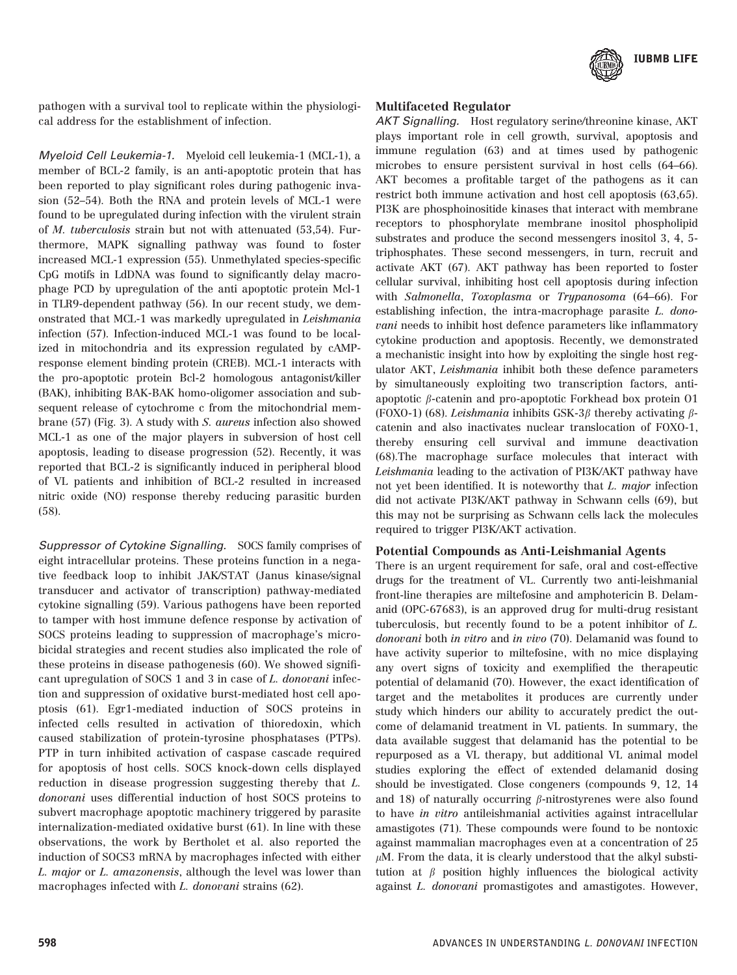

pathogen with a survival tool to replicate within the physiological address for the establishment of infection.

Myeloid Cell Leukemia-1. Myeloid cell leukemia-1 (MCL-1), a member of BCL-2 family, is an anti-apoptotic protein that has been reported to play significant roles during pathogenic invasion (52–54). Both the RNA and protein levels of MCL-1 were found to be upregulated during infection with the virulent strain of M. tuberculosis strain but not with attenuated (53,54). Furthermore, MAPK signalling pathway was found to foster increased MCL-1 expression (55). Unmethylated species-specific CpG motifs in LdDNA was found to significantly delay macrophage PCD by upregulation of the anti apoptotic protein Mcl-1 in TLR9-dependent pathway (56). In our recent study, we demonstrated that MCL-1 was markedly upregulated in Leishmania infection (57). Infection-induced MCL-1 was found to be localized in mitochondria and its expression regulated by cAMPresponse element binding protein (CREB). MCL-1 interacts with the pro-apoptotic protein Bcl-2 homologous antagonist/killer (BAK), inhibiting BAK-BAK homo-oligomer association and subsequent release of cytochrome c from the mitochondrial membrane (57) (Fig. 3). A study with S. aureus infection also showed MCL-1 as one of the major players in subversion of host cell apoptosis, leading to disease progression (52). Recently, it was reported that BCL-2 is significantly induced in peripheral blood of VL patients and inhibition of BCL-2 resulted in increased nitric oxide (NO) response thereby reducing parasitic burden (58).

Suppressor of Cytokine Signalling. SOCS family comprises of eight intracellular proteins. These proteins function in a negative feedback loop to inhibit JAK/STAT (Janus kinase/signal transducer and activator of transcription) pathway-mediated cytokine signalling (59). Various pathogens have been reported to tamper with host immune defence response by activation of SOCS proteins leading to suppression of macrophage's microbicidal strategies and recent studies also implicated the role of these proteins in disease pathogenesis (60). We showed significant upregulation of SOCS 1 and 3 in case of L. donovani infection and suppression of oxidative burst-mediated host cell apoptosis (61). Egr1-mediated induction of SOCS proteins in infected cells resulted in activation of thioredoxin, which caused stabilization of protein-tyrosine phosphatases (PTPs). PTP in turn inhibited activation of caspase cascade required for apoptosis of host cells. SOCS knock-down cells displayed reduction in disease progression suggesting thereby that L. donovani uses differential induction of host SOCS proteins to subvert macrophage apoptotic machinery triggered by parasite internalization-mediated oxidative burst (61). In line with these observations, the work by Bertholet et al. also reported the induction of SOCS3 mRNA by macrophages infected with either L. major or L. amazonensis, although the level was lower than macrophages infected with L. donovani strains (62).

#### Multifaceted Regulator

AKT Signalling. Host regulatory serine/threonine kinase, AKT plays important role in cell growth, survival, apoptosis and immune regulation (63) and at times used by pathogenic microbes to ensure persistent survival in host cells (64–66). AKT becomes a profitable target of the pathogens as it can restrict both immune activation and host cell apoptosis (63,65). PI3K are phosphoinositide kinases that interact with membrane receptors to phosphorylate membrane inositol phospholipid substrates and produce the second messengers inositol 3, 4, 5 triphosphates. These second messengers, in turn, recruit and activate AKT (67). AKT pathway has been reported to foster cellular survival, inhibiting host cell apoptosis during infection with Salmonella, Toxoplasma or Trypanosoma (64–66). For establishing infection, the intra-macrophage parasite L. donovani needs to inhibit host defence parameters like inflammatory cytokine production and apoptosis. Recently, we demonstrated a mechanistic insight into how by exploiting the single host regulator AKT, Leishmania inhibit both these defence parameters by simultaneously exploiting two transcription factors, antiapoptotic  $\beta$ -catenin and pro-apoptotic Forkhead box protein O1 (FOXO-1) (68). Leishmania inhibits GSK-3 $\beta$  thereby activating  $\beta$ catenin and also inactivates nuclear translocation of FOXO-1, thereby ensuring cell survival and immune deactivation (68).The macrophage surface molecules that interact with Leishmania leading to the activation of PI3K/AKT pathway have not yet been identified. It is noteworthy that L. major infection did not activate PI3K/AKT pathway in Schwann cells (69), but this may not be surprising as Schwann cells lack the molecules required to trigger PI3K/AKT activation.

#### Potential Compounds as Anti-Leishmanial Agents

There is an urgent requirement for safe, oral and cost-effective drugs for the treatment of VL. Currently two anti-leishmanial front-line therapies are miltefosine and amphotericin B. Delamanid (OPC-67683), is an approved drug for multi-drug resistant tuberculosis, but recently found to be a potent inhibitor of L. donovani both in vitro and in vivo (70). Delamanid was found to have activity superior to miltefosine, with no mice displaying any overt signs of toxicity and exemplified the therapeutic potential of delamanid (70). However, the exact identification of target and the metabolites it produces are currently under study which hinders our ability to accurately predict the outcome of delamanid treatment in VL patients. In summary, the data available suggest that delamanid has the potential to be repurposed as a VL therapy, but additional VL animal model studies exploring the effect of extended delamanid dosing should be investigated. Close congeners (compounds 9, 12, 14 and 18) of naturally occurring  $\beta$ -nitrostyrenes were also found to have in vitro antileishmanial activities against intracellular amastigotes (71). These compounds were found to be nontoxic against mammalian macrophages even at a concentration of 25  $\mu$ M. From the data, it is clearly understood that the alkyl substitution at  $\beta$  position highly influences the biological activity against L. donovani promastigotes and amastigotes. However,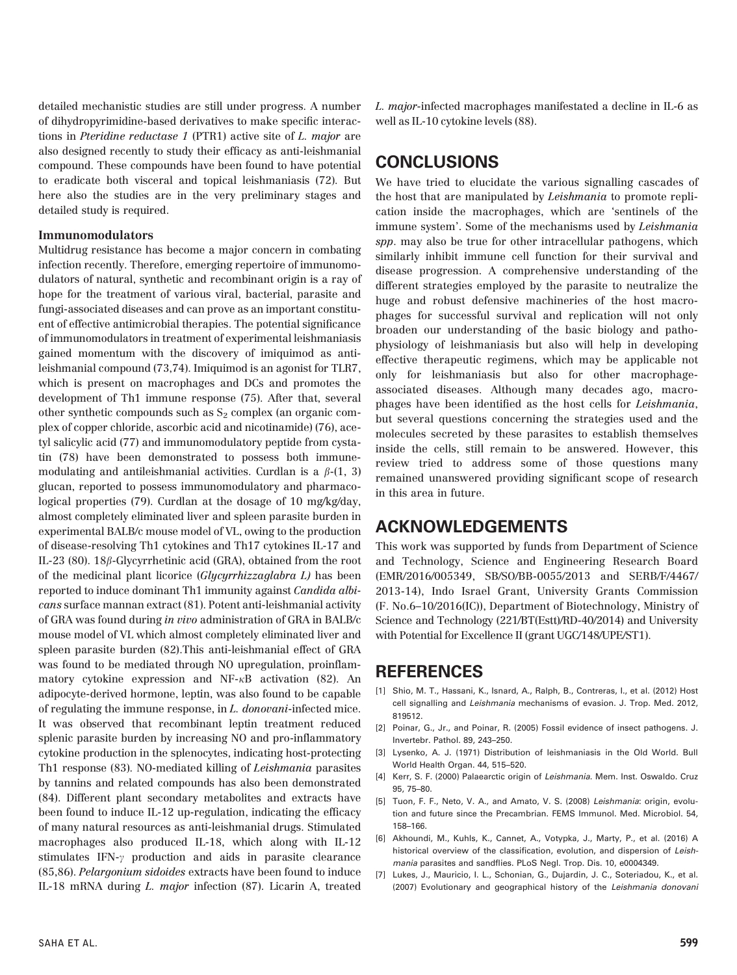detailed mechanistic studies are still under progress. A number of dihydropyrimidine-based derivatives to make specific interactions in Pteridine reductase 1 (PTR1) active site of L. major are also designed recently to study their efficacy as anti-leishmanial compound. These compounds have been found to have potential to eradicate both visceral and topical leishmaniasis (72). But here also the studies are in the very preliminary stages and detailed study is required.

#### Immunomodulators

Multidrug resistance has become a major concern in combating infection recently. Therefore, emerging repertoire of immunomodulators of natural, synthetic and recombinant origin is a ray of hope for the treatment of various viral, bacterial, parasite and fungi-associated diseases and can prove as an important constituent of effective antimicrobial therapies. The potential significance of immunomodulators in treatment of experimental leishmaniasis gained momentum with the discovery of imiquimod as antileishmanial compound (73,74). Imiquimod is an agonist for TLR7, which is present on macrophages and DCs and promotes the development of Th1 immune response (75). After that, several other synthetic compounds such as  $S_2$  complex (an organic complex of copper chloride, ascorbic acid and nicotinamide) (76), acetyl salicylic acid (77) and immunomodulatory peptide from cystatin (78) have been demonstrated to possess both immunemodulating and antileishmanial activities. Curdlan is a  $\beta$ -(1, 3) glucan, reported to possess immunomodulatory and pharmacological properties (79). Curdlan at the dosage of 10 mg/kg/day, almost completely eliminated liver and spleen parasite burden in experimental BALB/c mouse model of VL, owing to the production of disease-resolving Th1 cytokines and Th17 cytokines IL-17 and IL-23 (80). 18 $\beta$ -Glycyrrhetinic acid (GRA), obtained from the root of the medicinal plant licorice (Glycyrrhizzaglabra L) has been reported to induce dominant Th1 immunity against Candida albicans surface mannan extract (81). Potent anti-leishmanial activity of GRA was found during in vivo administration of GRA in BALB/c mouse model of VL which almost completely eliminated liver and spleen parasite burden (82).This anti-leishmanial effect of GRA was found to be mediated through NO upregulation, proinflammatory cytokine expression and  $NF-<sub>k</sub>B$  activation (82). An adipocyte-derived hormone, leptin, was also found to be capable of regulating the immune response, in L. donovani-infected mice. It was observed that recombinant leptin treatment reduced splenic parasite burden by increasing NO and pro-inflammatory cytokine production in the splenocytes, indicating host-protecting Th1 response (83). NO-mediated killing of Leishmania parasites by tannins and related compounds has also been demonstrated (84). Different plant secondary metabolites and extracts have been found to induce IL-12 up-regulation, indicating the efficacy of many natural resources as anti-leishmanial drugs. Stimulated macrophages also produced IL-18, which along with IL-12 stimulates IFN- $\gamma$  production and aids in parasite clearance (85,86). Pelargonium sidoides extracts have been found to induce IL-18 mRNA during L. major infection (87). Licarin A, treated

L. major-infected macrophages manifestated a decline in IL-6 as well as IL-10 cytokine levels (88).

## CONCLUSIONS

We have tried to elucidate the various signalling cascades of the host that are manipulated by Leishmania to promote replication inside the macrophages, which are 'sentinels of the immune system'. Some of the mechanisms used by Leishmania spp. may also be true for other intracellular pathogens, which similarly inhibit immune cell function for their survival and disease progression. A comprehensive understanding of the different strategies employed by the parasite to neutralize the huge and robust defensive machineries of the host macrophages for successful survival and replication will not only broaden our understanding of the basic biology and pathophysiology of leishmaniasis but also will help in developing effective therapeutic regimens, which may be applicable not only for leishmaniasis but also for other macrophageassociated diseases. Although many decades ago, macrophages have been identified as the host cells for Leishmania, but several questions concerning the strategies used and the molecules secreted by these parasites to establish themselves inside the cells, still remain to be answered. However, this review tried to address some of those questions many remained unanswered providing significant scope of research in this area in future.

## ACKNOWLEDGEMENTS

This work was supported by funds from Department of Science and Technology, Science and Engineering Research Board (EMR/2016/005349, SB/SO/BB-0055/2013 and SERB/F/4467/ 2013-14), Indo Israel Grant, University Grants Commission (F. No.6–10/2016(IC)), Department of Biotechnology, Ministry of Science and Technology (221/BT(Estt)/RD-40/2014) and University with Potential for Excellence II (grant UGC/148/UPE/ST1).

## REFERENCES

- [1] Shio, M. T., Hassani, K., Isnard, A., Ralph, B., Contreras, I., et al. (2012) Host cell signalling and Leishmania mechanisms of evasion. J. Trop. Med. 2012, 819512.
- [2] Poinar, G., Jr., and Poinar, R. (2005) Fossil evidence of insect pathogens. J. Invertebr. Pathol. 89, 243–250.
- [3] Lysenko, A. J. (1971) Distribution of leishmaniasis in the Old World. Bull World Health Organ. 44, 515–520.
- [4] Kerr, S. F. (2000) Palaearctic origin of Leishmania. Mem. Inst. Oswaldo. Cruz 95, 75–80.
- [5] Tuon, F. F., Neto, V. A., and Amato, V. S. (2008) Leishmania: origin, evolution and future since the Precambrian. FEMS Immunol. Med. Microbiol. 54, 158–166.
- [6] Akhoundi, M., Kuhls, K., Cannet, A., Votypka, J., Marty, P., et al. (2016) A historical overview of the classification, evolution, and dispersion of Leishmania parasites and sandflies. PLoS Negl. Trop. Dis. 10, e0004349.
- [7] Lukes, J., Mauricio, I. L., Schonian, G., Dujardin, J. C., Soteriadou, K., et al. (2007) Evolutionary and geographical history of the Leishmania donovani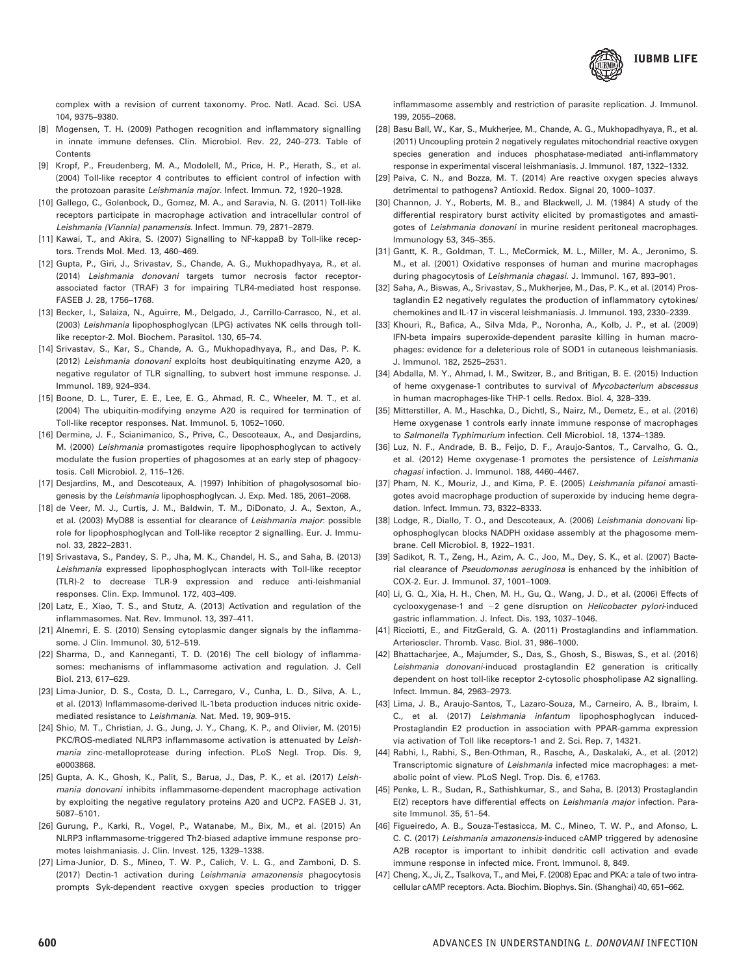

complex with a revision of current taxonomy. Proc. Natl. Acad. Sci. USA 104, 9375–9380.

- [8] Mogensen, T. H. (2009) Pathogen recognition and inflammatory signalling in innate immune defenses. Clin. Microbiol. Rev. 22, 240–273. Table of **Contents**
- [9] Kropf, P., Freudenberg, M. A., Modolell, M., Price, H. P., Herath, S., et al. (2004) Toll-like receptor 4 contributes to efficient control of infection with the protozoan parasite Leishmania major. Infect. Immun. 72, 1920–1928.
- [10] Gallego, C., Golenbock, D., Gomez, M. A., and Saravia, N. G. (2011) Toll-like receptors participate in macrophage activation and intracellular control of Leishmania (Viannia) panamensis. Infect. Immun. 79, 2871–2879.
- [11] Kawai, T., and Akira, S. (2007) Signalling to NF-kappaB by Toll-like receptors. Trends Mol. Med. 13, 460–469.
- [12] Gupta, P., Giri, J., Srivastav, S., Chande, A. G., Mukhopadhyaya, R., et al. (2014) Leishmania donovani targets tumor necrosis factor receptorassociated factor (TRAF) 3 for impairing TLR4-mediated host response. FASEB J. 28, 1756–1768.
- [13] Becker, I., Salaiza, N., Aguirre, M., Delgado, J., Carrillo-Carrasco, N., et al. (2003) Leishmania lipophosphoglycan (LPG) activates NK cells through tolllike receptor-2. Mol. Biochem. Parasitol. 130, 65–74.
- [14] Srivastav, S., Kar, S., Chande, A. G., Mukhopadhyaya, R., and Das, P. K. (2012) Leishmania donovani exploits host deubiquitinating enzyme A20, a negative regulator of TLR signalling, to subvert host immune response. J. Immunol. 189, 924–934.
- [15] Boone, D. L., Turer, E. E., Lee, E. G., Ahmad, R. C., Wheeler, M. T., et al. (2004) The ubiquitin-modifying enzyme A20 is required for termination of Toll-like receptor responses. Nat. Immunol. 5, 1052–1060.
- [16] Dermine, J. F., Scianimanico, S., Prive, C., Descoteaux, A., and Desjardins, M. (2000) Leishmania promastigotes require lipophosphoglycan to actively modulate the fusion properties of phagosomes at an early step of phagocytosis. Cell Microbiol. 2, 115–126.
- [17] Desjardins, M., and Descoteaux, A. (1997) Inhibition of phagolysosomal biogenesis by the Leishmania lipophosphoglycan. J. Exp. Med. 185, 2061–2068.
- [18] de Veer, M. J., Curtis, J. M., Baldwin, T. M., DiDonato, J. A., Sexton, A., et al. (2003) MyD88 is essential for clearance of Leishmania major: possible role for lipophosphoglycan and Toll-like receptor 2 signalling. Eur. J. Immunol. 33, 2822–2831.
- [19] Srivastava, S., Pandey, S. P., Jha, M. K., Chandel, H. S., and Saha, B. (2013) Leishmania expressed lipophosphoglycan interacts with Toll-like receptor (TLR)-2 to decrease TLR-9 expression and reduce anti-leishmanial responses. Clin. Exp. Immunol. 172, 403–409.
- [20] Latz, E., Xiao, T. S., and Stutz, A. (2013) Activation and regulation of the inflammasomes. Nat. Rev. Immunol. 13, 397–411.
- [21] Alnemri, E. S. (2010) Sensing cytoplasmic danger signals by the inflammasome. J Clin. Immunol. 30, 512–519.
- [22] Sharma, D., and Kanneganti, T. D. (2016) The cell biology of inflammasomes: mechanisms of inflammasome activation and regulation. J. Cell Biol. 213, 617–629.
- [23] Lima-Junior, D. S., Costa, D. L., Carregaro, V., Cunha, L. D., Silva, A. L., et al. (2013) Inflammasome-derived IL-1beta production induces nitric oxidemediated resistance to Leishmania. Nat. Med. 19, 909–915.
- [24] Shio, M. T., Christian, J. G., Jung, J. Y., Chang, K. P., and Olivier, M. (2015) PKC/ROS-mediated NLRP3 inflammasome activation is attenuated by Leishmania zinc-metalloprotease during infection. PLoS Negl. Trop. Dis. 9, e0003868.
- [25] Gupta, A. K., Ghosh, K., Palit, S., Barua, J., Das, P. K., et al. (2017) Leishmania donovani inhibits inflammasome-dependent macrophage activation by exploiting the negative regulatory proteins A20 and UCP2. FASEB J. 31, 5087–5101.
- [26] Gurung, P., Karki, R., Vogel, P., Watanabe, M., Bix, M., et al. (2015) An NLRP3 inflammasome-triggered Th2-biased adaptive immune response promotes leishmaniasis. J. Clin. Invest. 125, 1329–1338.
- [27] Lima-Junior, D. S., Mineo, T. W. P., Calich, V. L. G., and Zamboni, D. S. (2017) Dectin-1 activation during Leishmania amazonensis phagocytosis prompts Syk-dependent reactive oxygen species production to trigger

inflammasome assembly and restriction of parasite replication. J. Immunol. 199, 2055–2068.

- [28] Basu Ball, W., Kar, S., Mukherjee, M., Chande, A. G., Mukhopadhyaya, R., et al. (2011) Uncoupling protein 2 negatively regulates mitochondrial reactive oxygen species generation and induces phosphatase-mediated anti-inflammatory response in experimental visceral leishmaniasis. J. Immunol. 187, 1322–1332.
- [29] Paiva, C. N., and Bozza, M. T. (2014) Are reactive oxygen species always detrimental to pathogens? Antioxid. Redox. Signal 20, 1000–1037.
- [30] Channon, J. Y., Roberts, M. B., and Blackwell, J. M. (1984) A study of the differential respiratory burst activity elicited by promastigotes and amastigotes of Leishmania donovani in murine resident peritoneal macrophages. Immunology 53, 345–355.
- [31] Gantt, K. R., Goldman, T. L., McCormick, M. L., Miller, M. A., Jeronimo, S. M., et al. (2001) Oxidative responses of human and murine macrophages during phagocytosis of Leishmania chagasi. J. Immunol. 167, 893–901.
- [32] Saha, A., Biswas, A., Srivastav, S., Mukherjee, M., Das, P. K., et al. (2014) Prostaglandin E2 negatively regulates the production of inflammatory cytokines/ chemokines and IL-17 in visceral leishmaniasis. J. Immunol. 193, 2330–2339.
- [33] Khouri, R., Bafica, A., Silva Mda, P., Noronha, A., Kolb, J. P., et al. (2009) IFN-beta impairs superoxide-dependent parasite killing in human macrophages: evidence for a deleterious role of SOD1 in cutaneous leishmaniasis. J. Immunol. 182, 2525–2531.
- [34] Abdalla, M. Y., Ahmad, I. M., Switzer, B., and Britigan, B. E. (2015) Induction of heme oxygenase-1 contributes to survival of Mycobacterium abscessus in human macrophages-like THP-1 cells. Redox. Biol. 4, 328–339.
- [35] Mitterstiller, A. M., Haschka, D., Dichtl, S., Nairz, M., Demetz, E., et al. (2016) Heme oxygenase 1 controls early innate immune response of macrophages to Salmonella Typhimurium infection. Cell Microbiol. 18, 1374–1389.
- [36] Luz, N. F., Andrade, B. B., Feijo, D. F., Araujo-Santos, T., Carvalho, G. Q., et al. (2012) Heme oxygenase-1 promotes the persistence of Leishmania chagasi infection. J. Immunol. 188, 4460–4467.
- [37] Pham, N. K., Mouriz, J., and Kima, P. E. (2005) Leishmania pifanoi amastigotes avoid macrophage production of superoxide by inducing heme degradation. Infect. Immun. 73, 8322–8333.
- [38] Lodge, R., Diallo, T. O., and Descoteaux, A. (2006) Leishmania donovani lipophosphoglycan blocks NADPH oxidase assembly at the phagosome membrane. Cell Microbiol. 8, 1922–1931.
- [39] Sadikot, R. T., Zeng, H., Azim, A. C., Joo, M., Dey, S. K., et al. (2007) Bacterial clearance of Pseudomonas aeruginosa is enhanced by the inhibition of COX-2. Eur. J. Immunol. 37, 1001–1009.
- [40] Li, G. Q., Xia, H. H., Chen, M. H., Gu, Q., Wang, J. D., et al. (2006) Effects of cyclooxygenase-1 and  $-2$  gene disruption on Helicobacter pylori-induced gastric inflammation. J. Infect. Dis. 193, 1037–1046.
- [41] Ricciotti, E., and FitzGerald, G. A. (2011) Prostaglandins and inflammation. Arterioscler. Thromb. Vasc. Biol. 31, 986–1000.
- [42] Bhattacharjee, A., Majumder, S., Das, S., Ghosh, S., Biswas, S., et al. (2016) Leishmania donovani-induced prostaglandin E2 generation is critically dependent on host toll-like receptor 2-cytosolic phospholipase A2 signalling. Infect. Immun. 84, 2963–2973.
- [43] Lima, J. B., Araujo-Santos, T., Lazaro-Souza, M., Carneiro, A. B., Ibraim, I. C., et al. (2017) Leishmania infantum lipophosphoglycan induced-Prostaglandin E2 production in association with PPAR-gamma expression via activation of Toll like receptors-1 and 2. Sci. Rep. 7, 14321.
- [44] Rabhi, I., Rabhi, S., Ben-Othman, R., Rasche, A., Daskalaki, A., et al. (2012) Transcriptomic signature of Leishmania infected mice macrophages: a metabolic point of view. PLoS Negl. Trop. Dis. 6, e1763.
- [45] Penke, L. R., Sudan, R., Sathishkumar, S., and Saha, B. (2013) Prostaglandin E(2) receptors have differential effects on Leishmania major infection. Parasite Immunol. 35, 51–54.
- [46] Figueiredo, A. B., Souza-Testasicca, M. C., Mineo, T. W. P., and Afonso, L. C. C. (2017) Leishmania amazonensis-induced cAMP triggered by adenosine A2B receptor is important to inhibit dendritic cell activation and evade immune response in infected mice. Front. Immunol. 8, 849.
- [47] Cheng, X., Ji, Z., Tsalkova, T., and Mei, F. (2008) Epac and PKA: a tale of two intracellular cAMP receptors. Acta. Biochim. Biophys. Sin. (Shanghai) 40, 651–662.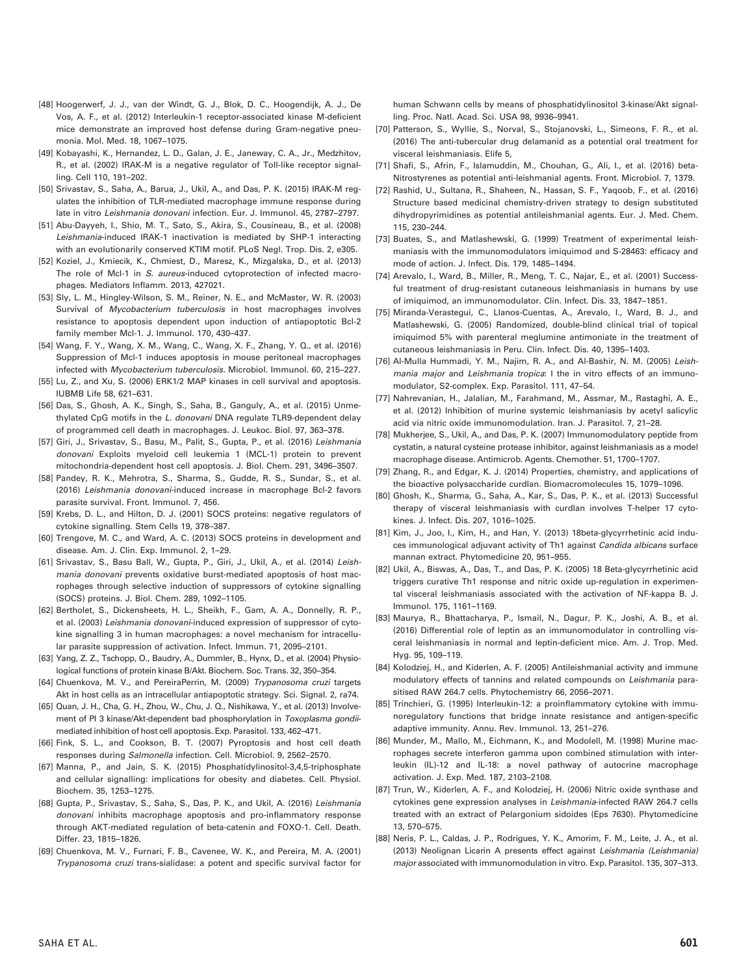- [48] Hoogerwerf, J. J., van der Windt, G. J., Blok, D. C., Hoogendijk, A. J., De Vos, A. F., et al. (2012) Interleukin-1 receptor-associated kinase M-deficient mice demonstrate an improved host defense during Gram-negative pneumonia. Mol. Med. 18, 1067–1075.
- [49] Kobayashi, K., Hernandez, L. D., Galan, J. E., Janeway, C. A., Jr., Medzhitov, R., et al. (2002) IRAK-M is a negative regulator of Toll-like receptor signalling. Cell 110, 191–202.
- [50] Srivastav, S., Saha, A., Barua, J., Ukil, A., and Das, P. K. (2015) IRAK-M regulates the inhibition of TLR-mediated macrophage immune response during late in vitro Leishmania donovani infection. Eur. J. Immunol. 45, 2787–2797.
- [51] Abu-Dayyeh, I., Shio, M. T., Sato, S., Akira, S., Cousineau, B., et al. (2008) Leishmania-induced IRAK-1 inactivation is mediated by SHP-1 interacting with an evolutionarily conserved KTIM motif. PLoS Negl. Trop. Dis. 2, e305.
- [52] Koziel, J., Kmiecik, K., Chmiest, D., Maresz, K., Mizgalska, D., et al. (2013) The role of Mcl-1 in S. aureus-induced cytoprotection of infected macrophages. Mediators Inflamm. 2013, 427021.
- [53] Sly, L. M., Hingley-Wilson, S. M., Reiner, N. E., and McMaster, W. R. (2003) Survival of *Mycobacterium tuberculosis* in host macrophages involves resistance to apoptosis dependent upon induction of antiapoptotic Bcl-2 family member Mcl-1. J. Immunol. 170, 430–437.
- [54] Wang, F. Y., Wang, X. M., Wang, C., Wang, X. F., Zhang, Y. Q., et al. (2016) Suppression of Mcl-1 induces apoptosis in mouse peritoneal macrophages infected with Mycobacterium tuberculosis. Microbiol. Immunol. 60, 215–227.
- [55] Lu, Z., and Xu, S. (2006) ERK1/2 MAP kinases in cell survival and apoptosis. IUBMB Life 58, 621–631.
- [56] Das, S., Ghosh, A. K., Singh, S., Saha, B., Ganguly, A., et al. (2015) Unmethylated CpG motifs in the L. donovani DNA regulate TLR9-dependent delay of programmed cell death in macrophages. J. Leukoc. Biol. 97, 363–378.
- [57] Giri, J., Srivastav, S., Basu, M., Palit, S., Gupta, P., et al. (2016) Leishmania donovani Exploits myeloid cell leukemia 1 (MCL-1) protein to prevent mitochondria-dependent host cell apoptosis. J. Biol. Chem. 291, 3496–3507.
- [58] Pandey, R. K., Mehrotra, S., Sharma, S., Gudde, R. S., Sundar, S., et al. (2016) Leishmania donovani-induced increase in macrophage Bcl-2 favors parasite survival. Front. Immunol. 7, 456.
- [59] Krebs, D. L., and Hilton, D. J. (2001) SOCS proteins: negative regulators of cytokine signalling. Stem Cells 19, 378–387.
- [60] Trengove, M. C., and Ward, A. C. (2013) SOCS proteins in development and disease. Am. J. Clin. Exp. Immunol. 2, 1–29.
- [61] Srivastav, S., Basu Ball, W., Gupta, P., Giri, J., Ukil, A., et al. (2014) Leishmania donovani prevents oxidative burst-mediated apoptosis of host macrophages through selective induction of suppressors of cytokine signalling (SOCS) proteins. J. Biol. Chem. 289, 1092–1105.
- [62] Bertholet, S., Dickensheets, H. L., Sheikh, F., Gam, A. A., Donnelly, R. P., et al. (2003) Leishmania donovani-induced expression of suppressor of cytokine signalling 3 in human macrophages: a novel mechanism for intracellular parasite suppression of activation. Infect. Immun. 71, 2095–2101.
- [63] Yang, Z. Z., Tschopp, O., Baudry, A., Dummler, B., Hynx, D., et al. (2004) Physiological functions of protein kinase B/Akt. Biochem. Soc. Trans. 32, 350–354.
- [64] Chuenkova, M. V., and PereiraPerrin, M. (2009) Trypanosoma cruzi targets Akt in host cells as an intracellular antiapoptotic strategy. Sci. Signal. 2, ra74.
- [65] Quan, J. H., Cha, G. H., Zhou, W., Chu, J. Q., Nishikawa, Y., et al. (2013) Involvement of PI 3 kinase/Akt-dependent bad phosphorylation in Toxoplasma gondiimediated inhibition of host cell apoptosis. Exp. Parasitol. 133, 462–471.
- [66] Fink, S. L., and Cookson, B. T. (2007) Pyroptosis and host cell death responses during Salmonella infection. Cell. Microbiol. 9, 2562–2570.
- [67] Manna, P., and Jain, S. K. (2015) Phosphatidylinositol-3,4,5-triphosphate and cellular signalling: implications for obesity and diabetes. Cell. Physiol. Biochem. 35, 1253–1275.
- [68] Gupta, P., Srivastav, S., Saha, S., Das, P. K., and Ukil, A. (2016) Leishmania donovani inhibits macrophage apoptosis and pro-inflammatory response through AKT-mediated regulation of beta-catenin and FOXO-1. Cell. Death. Differ. 23, 1815–1826.
- [69] Chuenkova, M. V., Furnari, F. B., Cavenee, W. K., and Pereira, M. A. (2001) Trypanosoma cruzi trans-sialidase: a potent and specific survival factor for

human Schwann cells by means of phosphatidylinositol 3-kinase/Akt signalling. Proc. Natl. Acad. Sci. USA 98, 9936–9941.

- [70] Patterson, S., Wyllie, S., Norval, S., Stojanovski, L., Simeons, F. R., et al. (2016) The anti-tubercular drug delamanid as a potential oral treatment for visceral leishmaniasis. Elife 5,
- [71] Shafi, S., Afrin, F., Islamuddin, M., Chouhan, G., Ali, I., et al. (2016) beta-Nitrostyrenes as potential anti-leishmanial agents. Front. Microbiol. 7, 1379.
- [72] Rashid, U., Sultana, R., Shaheen, N., Hassan, S. F., Yaqoob, F., et al. (2016) Structure based medicinal chemistry-driven strategy to design substituted dihydropyrimidines as potential antileishmanial agents. Eur. J. Med. Chem. 115, 230–244.
- [73] Buates, S., and Matlashewski, G. (1999) Treatment of experimental leishmaniasis with the immunomodulators imiquimod and S-28463: efficacy and mode of action. J. Infect. Dis. 179, 1485–1494.
- [74] Arevalo, I., Ward, B., Miller, R., Meng, T. C., Najar, E., et al. (2001) Successful treatment of drug-resistant cutaneous leishmaniasis in humans by use of imiquimod, an immunomodulator. Clin. Infect. Dis. 33, 1847–1851.
- [75] Miranda-Verastegui, C., Llanos-Cuentas, A., Arevalo, I., Ward, B. J., and Matlashewski, G. (2005) Randomized, double-blind clinical trial of topical imiquimod 5% with parenteral meglumine antimoniate in the treatment of cutaneous leishmaniasis in Peru. Clin. Infect. Dis. 40, 1395–1403.
- [76] Al-Mulla Hummadi, Y. M., Najim, R. A., and Al-Bashir, N. M. (2005) Leishmania major and Leishmania tropica: I the in vitro effects of an immunomodulator, S2-complex. Exp. Parasitol. 111, 47–54.
- [77] Nahrevanian, H., Jalalian, M., Farahmand, M., Assmar, M., Rastaghi, A. E., et al. (2012) Inhibition of murine systemic leishmaniasis by acetyl salicylic acid via nitric oxide immunomodulation. Iran. J. Parasitol. 7, 21–28.
- [78] Mukherjee, S., Ukil, A., and Das, P. K. (2007) Immunomodulatory peptide from cystatin, a natural cysteine protease inhibitor, against leishmaniasis as a model macrophage disease. Antimicrob. Agents. Chemother. 51, 1700–1707.
- [79] Zhang, R., and Edgar, K. J. (2014) Properties, chemistry, and applications of the bioactive polysaccharide curdlan. Biomacromolecules 15, 1079–1096.
- [80] Ghosh, K., Sharma, G., Saha, A., Kar, S., Das, P. K., et al. (2013) Successful therapy of visceral leishmaniasis with curdlan involves T-helper 17 cytokines. J. Infect. Dis. 207, 1016–1025.
- [81] Kim, J., Joo, I., Kim, H., and Han, Y. (2013) 18beta-glycyrrhetinic acid induces immunological adjuvant activity of Th1 against Candida albicans surface mannan extract. Phytomedicine 20, 951–955.
- [82] Ukil, A., Biswas, A., Das, T., and Das, P. K. (2005) 18 Beta-glycyrrhetinic acid triggers curative Th1 response and nitric oxide up-regulation in experimental visceral leishmaniasis associated with the activation of NF-kappa B. J. Immunol. 175, 1161–1169.
- [83] Maurya, R., Bhattacharya, P., Ismail, N., Dagur, P. K., Joshi, A. B., et al. (2016) Differential role of leptin as an immunomodulator in controlling visceral leishmaniasis in normal and leptin-deficient mice. Am. J. Trop. Med. Hyg. 95, 109–119.
- [84] Kolodziej, H., and Kiderlen, A. F. (2005) Antileishmanial activity and immune modulatory effects of tannins and related compounds on Leishmania parasitised RAW 264.7 cells. Phytochemistry 66, 2056–2071.
- [85] Trinchieri, G. (1995) Interleukin-12: a proinflammatory cytokine with immunoregulatory functions that bridge innate resistance and antigen-specific adaptive immunity. Annu. Rev. Immunol. 13, 251–276.
- [86] Munder, M., Mallo, M., Eichmann, K., and Modolell, M. (1998) Murine macrophages secrete interferon gamma upon combined stimulation with interleukin (IL)-12 and IL-18: a novel pathway of autocrine macrophage activation. J. Exp. Med. 187, 2103–2108.
- [87] Trun, W., Kiderlen, A. F., and Kolodziej, H. (2006) Nitric oxide synthase and cytokines gene expression analyses in Leishmania-infected RAW 264.7 cells treated with an extract of Pelargonium sidoides (Eps 7630). Phytomedicine 13, 570–575.
- [88] Neris, P. L., Caldas, J. P., Rodrigues, Y. K., Amorim, F. M., Leite, J. A., et al. (2013) Neolignan Licarin A presents effect against Leishmania (Leishmania) major associated with immunomodulation in vitro. Exp. Parasitol. 135, 307–313.